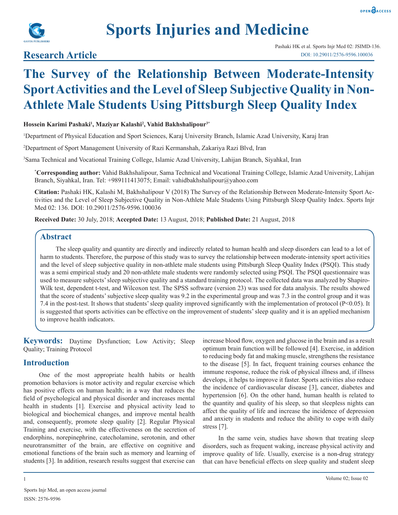



# **Sports Injuries and Medicine**

### **Research Article**

## **The Survey of the Relationship Between Moderate-Intensity Sport Activities and the Level of Sleep Subjective Quality in Non-Athlete Male Students Using Pittsburgh Sleep Quality Index**

#### **Hossein Karimi Pashaki1 , Maziyar Kalashi2 , Vahid Bakhshalipour3\***

1 Department of Physical Education and Sport Sciences, Karaj University Branch, Islamic Azad University, Karaj Iran

2 Department of Sport Management University of Razi Kermanshah, Zakariya Razi Blvd, Iran

3 Sama Technical and Vocational Training College, Islamic Azad University, Lahijan Branch, Siyahkal, Iran

**\* Corresponding author:** Vahid Bakhshalipour, Sama Technical and Vocational Training College, Islamic Azad University, Lahijan Branch, Siyahkal, Iran. Tel: +989111413075; Email: vahidbakhshalipour@yahoo.com

**Citation:** Pashaki HK, Kalashi M, Bakhshalipour V (2018) The Survey of the Relationship Between Moderate-Intensity Sport Activities and the Level of Sleep Subjective Quality in Non-Athlete Male Students Using Pittsburgh Sleep Quality Index. Sports Injr Med 02: 136. DOI: 10.29011/2576-9596.100036

**Received Date:** 30 July, 2018; **Accepted Date:** 13 August, 2018; **Published Date:** 21 August, 2018

#### **Abstract**

The sleep quality and quantity are directly and indirectly related to human health and sleep disorders can lead to a lot of harm to students. Therefore, the purpose of this study was to survey the relationship between moderate-intensity sport activities and the level of sleep subjective quality in non-athlete male students using Pittsburgh Sleep Quality Index (PSQI). This study was a semi empirical study and 20 non-athlete male students were randomly selected using PSQI. The PSQI questionnaire was used to measure subjects' sleep subjective quality and a standard training protocol. The collected data was analyzed by Shapiro-Wilk test, dependent t-test, and Wilcoxon test. The SPSS software (version 23) was used for data analysis. The results showed that the score of students' subjective sleep quality was 9.2 in the experimental group and was 7.3 in the control group and it was 7.4 in the post-test. It shows that students' sleep quality improved significantly with the implementation of protocol (P<0.05). It is suggested that sports activities can be effective on the improvement of students' sleep quality and it is an applied mechanism to improve health indicators.

**Keywords:** Daytime Dysfunction; Low Activity; Sleep Quality; Training Protocol

#### **Introduction**

One of the most appropriate health habits or health promotion behaviors is motor activity and regular exercise which has positive effects on human health; in a way that reduces the field of psychological and physical disorder and increases mental health in students [1]. Exercise and physical activity lead to biological and biochemical changes, and improve mental health and, consequently, promote sleep quality [2]. Regular Physical Training and exercise, with the effectiveness on the secretion of endorphins, norepinephrine, catecholamine, serotonin, and other neurotransmitter of the brain, are effective on cognitive and emotional functions of the brain such as memory and learning of students [3]. In addition, research results suggest that exercise can

increase blood flow, oxygen and glucose in the brain and as a result optimum brain function will be followed [4]. Exercise, in addition to reducing body fat and making muscle, strengthens the resistance to the disease [5]. In fact, frequent training courses enhance the immune response, reduce the risk of physical illness and, if illness develops, it helps to improve it faster. Sports activities also reduce the incidence of cardiovascular disease [3], cancer, diabetes and hypertension [6]. On the other hand, human health is related to the quantity and quality of his sleep, so that sleepless nights can affect the quality of life and increase the incidence of depression and anxiety in students and reduce the ability to cope with daily stress [7].

In the same vein, studies have shown that treating sleep disorders, such as frequent waking, increase physical activity and improve quality of life. Usually, exercise is a non-drug strategy that can have beneficial effects on sleep quality and student sleep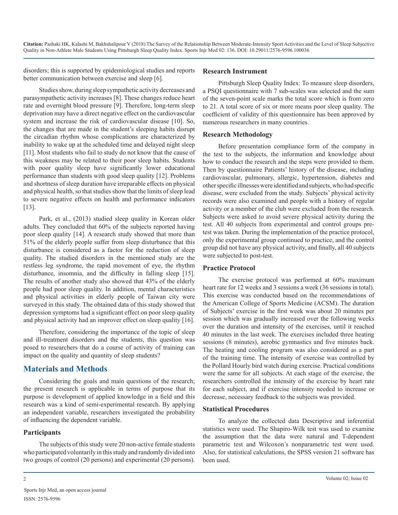disorders; this is supported by epidemiological studies and reports better communication between exercise and sleep [6].

Studies show, during sleep sympathetic activity decreases and parasympathetic activity increases [8]. These changes reduce heart rate and overnight blood pressure [9]. Therefore, long-term sleep deprivation may have a direct negative effect on the cardiovascular system and increase the risk of cardiovascular disease [10]. So, the changes that are made in the student's sleeping habits disrupt the circadian rhythm whose complications are characterized by inability to wake up at the scheduled time and delayed night sleep [11]. Most students who fail to study do not know that the cause of this weakness may be related to their poor sleep habits. Students with poor quality sleep have significantly lower educational performance than students with good sleep quality [12]. Problems and shortness of sleep duration have irreparable effects on physical and physical health, so that studies show that the limits of sleep lead to severe negative effects on health and performance indicators [13].

Park, et al., (2013) studied sleep quality in Korean older adults. They concluded that 60% of the subjects reported having poor sleep quality [14]. A research study showed that more than 51% of the elderly people suffer from sleep disturbance that this disturbance is considered as a factor for the reduction of sleep quality. The studied disorders in the mentioned study are the restless leg syndrome, the rapid movement of eye, the rhythm disturbance, insomnia, and the difficulty in falling sleep [15]. The results of another study also showed that 43% of the elderly people had poor sleep quality. In addition, mental characteristics and physical activities in elderly people of Taiwan city were surveyed in this study. The obtained data of this study showed that depression symptoms had a significant effect on poor sleep quality and physical activity had an improver effect on sleep quality [16].

Therefore, considering the importance of the topic of sleep and ill-treatment disorders and the students, this question was posed to researchers that do a course of activity of training can impact on the quality and quantity of sleep students?

#### **Materials and Methods**

Considering the goals and main questions of the research; the present research is applicable in terms of purpose that its purpose is development of applied knowledge in a field and this research was a kind of semi-experimental research. By applying an independent variable, researchers investigated the probability of influencing the dependent variable.

#### **Participants**

The subjects of this study were 20 non-active female students who participated voluntarily in this study and randomly divided into two groups of control (20 persons) and experimental (20 persons).

#### **Research Instrument**

Pittsburgh Sleep Quality Index: To measure sleep disorders, a PSQI questionnaire with 7 sub-scales was selected and the sum of the seven-point scale marks the total score which is from zero to 21. A total score of six or more means poor sleep quality. The coefficient of validity of this questionnaire has been approved by numerous researchers in many countries.

#### **Research Methodology**

Before presentation compliance form of the company in the test to the subjects, the information and knowledge about how to conduct the research and the steps were provided to them. Then by questionnaire Patients' history of the disease, including cardiovascular, pulmonary, allergic, hypertension, diabetes and other specific illnesses were identified and subjects, who had specific disease, were excluded from the study. Subjects' physical activity records were also examined and people with a history of regular activity or a member of the club were excluded from the research. Subjects were asked to avoid severe physical activity during the test. All 40 subjects from experimental and control groups pretest was taken. During the implementation of the practice protocol, only the experimental group continued to practice, and the control group did not have any physical activity, and finally, all 40 subjects were subjected to post-test.

#### **Practice Protocol**

The exercise protocol was performed at 60% maximum heart rate for 12 weeks and 3 sessions a week (36 sessions in total). This exercise was conducted based on the recommendations of the American College of Sports Medicine (ACSM). The duration of Subjects' exercise in the first week was about 20 minutes per session which was gradually increased over the following weeks over the duration and intensity of the exercises, until it reached 40 minutes in the last week. The exercises included three heating sessions (8 minutes), aerobic gymnastics and five minutes back. The heating and cooling program was also considered as a part of the training time. The intensity of exercise was controlled by the Pollard Hourly bird watch during exercise. Practical conditions were the same for all subjects. At each stage of the exercise, the researchers controlled the intensity of the exercise by heart rate for each subject, and if exercise intensity needed to increase or decrease, necessary feedback to the subjects was provided.

#### **Statistical Procedures**

To analyze the collected data Descriptive and inferential statistics were used. The Shapiro-Wilk test was used to examine the assumption that the data were natural and T-dependent parametric test and Wilcoxon's nonparametric test were used. Also, for statistical calculations, the SPSS version 21 software has been used.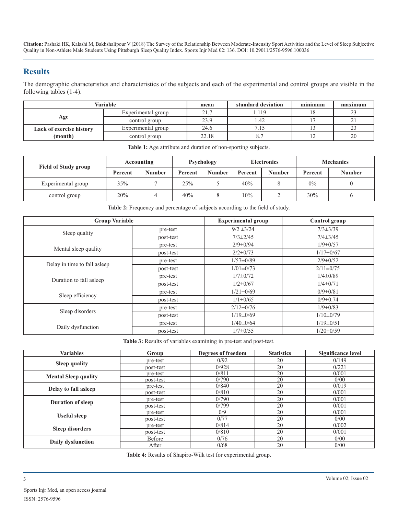**Citation:** Pashaki HK, Kalashi M, Bakhshalipour V (2018) The Survey of the Relationship Between Moderate-Intensity Sport Activities and the Level of Sleep Subjective Quality in Non-Athlete Male Students Using Pittsburgh Sleep Quality Index. Sports Injr Med 02: 136. DOI: 10.29011/2576-9596.100036

#### **Results**

The demographic characteristics and characteristics of the subjects and each of the experimental and control groups are visible in the following tables (1-4).

| Variable                        |                    | mean  | standard deviation | minimum | maximum |
|---------------------------------|--------------------|-------|--------------------|---------|---------|
|                                 | Experimental group | 21.7  |                    |         |         |
| Age                             | control group      | 23.9  | l.42               |         |         |
| <b>Lack of exercise history</b> | Experimental group | 24.6  | $\cdot$ 10         |         |         |
| (month)                         | control group      | 22.18 |                    |         | 20      |

| <b>Field of Study group</b> | Accounting |               | Psychology |               | <b>Electronics</b> |               | <b>Mechanics</b> |               |
|-----------------------------|------------|---------------|------------|---------------|--------------------|---------------|------------------|---------------|
|                             | Percent    | <b>Number</b> | Percent    | <b>Number</b> | Percent            | <b>Number</b> | Percent          | <b>Number</b> |
| Experimental group          | 35%        |               | 25%        |               | 40%                |               | $0\%$            |               |
| control group               | 20%        |               | 40%        |               | 10%                |               | 30%              |               |

**Table 1:** Age attribute and duration of non-sporting subjects.

**Table 2:** Frequency and percentage of subjects according to the field of study.

| <b>Group Variable</b>        |           | <b>Experimental group</b> | <b>Control</b> group |  |
|------------------------------|-----------|---------------------------|----------------------|--|
|                              | pre-test  | $9/2 \pm 3/24$            | $7/3 \pm 3/39$       |  |
| Sleep quality                | post-test | $7/3 \pm 2/45$            | $7/4 \pm 3/45$       |  |
|                              | pre-test  | $2/9 \pm 0/94$            | $1/9 \pm 0/57$       |  |
| Mental sleep quality         | post-test | $2/2 \pm 0/73$            | $1/17 \pm 0/67$      |  |
|                              | pre-test  | $1/57 \pm 0/89$           | $2/9 \pm 0/52$       |  |
| Delay in time to fall asleep | post-test | $1/01 \pm 0/73$           | $2/11 \pm 0/75$      |  |
| Duration to fall asleep      | pre-test  | $1/7 \pm 0/72$            | $1/4 \pm 0/89$       |  |
|                              | post-test | $1/2 \pm 0/67$            | $1/4 \pm 0/71$       |  |
|                              | pre-test  | $1/21 \pm 0/69$           | $0/9 \pm 0/81$       |  |
| Sleep efficiency             | post-test | $1/1 \pm 0/65$            | $0/9 \pm 0.74$       |  |
|                              | pre-test  | $2/12 \pm 0/76$           | $1/9 \pm 0/83$       |  |
| Sleep disorders              | post-test | $1/19 \pm 0/69$           | $1/10 \pm 0/79$      |  |
| Daily dysfunction            | pre-test  | $1/40 \pm 0/64$           | $1/19 \pm 0/51$      |  |
|                              | post-test | $1/7 \pm 0/55$            | $1/20 \pm 0/59$      |  |

**Table 3:** Results of variables examining in pre-test and post-test.

| <b>Variables</b>            | Group         | Degrees of freedom | <b>Statistics</b> | <b>Significance level</b> |
|-----------------------------|---------------|--------------------|-------------------|---------------------------|
| <b>Sleep quality</b>        | pre-test      | 0/92<br>20         |                   | 0/149                     |
|                             | post-test     | 0/928              | 20                | 0/221                     |
| <b>Mental Sleep quality</b> | pre-test      | 0/811              | 20                | 0/001                     |
|                             | post-test     | 0/790              | 20                | 0/00                      |
| Delay to fall asleep        | pre-test      | 0/840              | 20                | 0/019                     |
|                             | post-test     | 0/810              | 20                | 0/001                     |
| <b>Duration of sleep</b>    | pre-test      | 0/790              | 20                | 0/001                     |
|                             | post-test     | 0/799              | 20                | 0/001                     |
| <b>Useful sleep</b>         | pre-test      | 0/9                | 20                | 0/001                     |
|                             | post-test     | 0/77               | 20                | 0/00                      |
|                             | pre-test      | 0/814              | 20                | 0/002                     |
| <b>Sleep disorders</b>      | post-test     | 0/810              | 20                | 0/001                     |
|                             | <b>Before</b> | 0/76               | 20                | 0/00                      |
| Daily dysfunction           | After         | 0/68               | 20                | 0/00                      |

**Table 4:** Results of Shapiro-Wilk test for experimental group.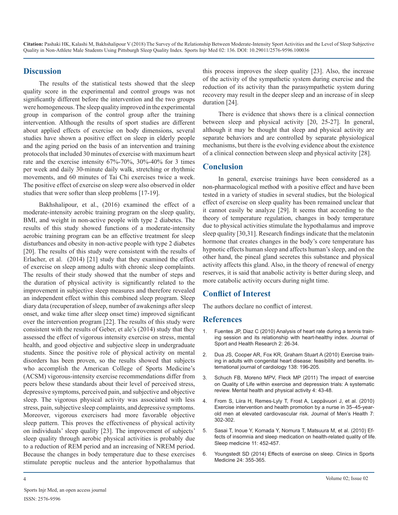**Citation:** Pashaki HK, Kalashi M, Bakhshalipour V (2018) The Survey of the Relationship Between Moderate-Intensity Sport Activities and the Level of Sleep Subjective Quality in Non-Athlete Male Students Using Pittsburgh Sleep Quality Index. Sports Injr Med 02: 136. DOI: 10.29011/2576-9596.100036

#### **Discussion**

The results of the statistical tests showed that the sleep quality score in the experimental and control groups was not significantly different before the intervention and the two groups were homogeneous. The sleep quality improved in the experimental group in comparison of the control group after the training intervention. Although the results of sport studies are different about applied effects of exercise on body dimensions, several studies have shown a positive effect on sleep in elderly people and the aging period on the basis of an intervention and training protocols that included 30 minutes of exercise with maximum heart rate and the exercise intensity 67%-70%, 30%-40% for 3 times per week and daily 30-minute daily walk, stretching or rhythmic movements, and 60 minutes of Tai Chi exercises twice a week. The positive effect of exercise on sleep were also observed in older studies that were softer than sleep problems [17-19].

Bakhshalipour, et al., (2016) examined the effect of a moderate-intensity aerobic training program on the sleep quality, BMI, and weight in non-active people with type 2 diabetes. The results of this study showed functions of a moderate-intensity aerobic training program can be an effective treatment for sleep disturbances and obesity in non-active people with type 2 diabetes [20]. The results of this study were consistent with the results of Erlacher, et al. (2014) [21] study that they examined the effect of exercise on sleep among adults with chronic sleep complaints. The results of their study showed that the number of steps and the duration of physical activity is significantly related to the improvement in subjective sleep measures and therefore revealed an independent effect within this combined sleep program. Sleep diary data (recuperation of sleep, number of awakenings after sleep onset, and wake time after sleep onset time) improved significant over the intervention program [22]. The results of this study were consistent with the results of Geber, et ale's (2014) study that they assessed the effect of vigorous intensity exercise on stress, mental health, and good objective and subjective sleep in undergraduate students. Since the positive role of physical activity on mental disorders has been proven, so the results showed that subjects who accomplish the American College of Sports Medicine's (ACSM) vigorous-intensity exercise recommendations differ from peers below these standards about their level of perceived stress, depressive symptoms, perceived pain, and subjective and objective sleep. The vigorous physical activity was associated with less stress, pain, subjective sleep complaints, and depressive symptoms. Moreover, vigorous exercisers had more favorable objective sleep pattern. This proves the effectiveness of physical activity on individuals' sleep quality [23]. The improvement of subjects' sleep quality through aerobic physical activities is probably due to a reduction of REM period and an increasing of NREM period. Because the changes in body temperature due to these exercises stimulate peroptic nucleus and the anterior hypothalamus that

this process improves the sleep quality [23]. Also, the increase of the activity of the sympathetic system during exercise and the reduction of its activity than the parasympathetic system during recovery may result in the deeper sleep and an increase of in sleep duration [24].

There is evidence that shows there is a clinical connection between sleep and physical activity [20, 25-27]. In general, although it may be thought that sleep and physical activity are separate behaviors and are controlled by separate physiological mechanisms, but there is the evolving evidence about the existence of a clinical connection between sleep and physical activity [28].

#### **Conclusion**

In general, exercise trainings have been considered as a non-pharmacological method with a positive effect and have been tested in a variety of studies in several studies, but the biological effect of exercise on sleep quality has been remained unclear that it cannot easily be analyze [29]. It seems that according to the theory of temperature regulation, changes in body temperature due to physical activities stimulate the hypothalamus and improve sleep quality [30,31]. Research findings indicate that the melatonin hormone that creates changes in the body's core temperature has hypnotic effects human sleep and affects human's sleep, and on the other hand, the pineal gland secretes this substance and physical activity affects this gland. Also, in the theory of renewal of energy reserves, it is said that anabolic activity is better during sleep, and more catabolic activity occurs during night time.

#### **Conflict of Interest**

The authors declare no conflict of interest.

#### **References**

- [Fuentes JP, Diaz C \(2010\) Analysis of heart rate during a tennis train](http://www.journalshr.com/papers/Vol 2_N 1/V02_1_4.pdf)ing session and its relationship with heart-healthy index. Journal of [Sport and Health Research 2: 26-34.](http://www.journalshr.com/papers/Vol 2_N 1/V02_1_4.pdf)
- 2. [Dua JS, Cooper AR, Fox KR, Graham Stuart A \(2010\) Exercise train](https://www.ncbi.nlm.nih.gov/pubmed/19217676)ing in adults with congenital heart disease: feasibility and benefits. In[ternational journal of cardiology 138: 196-205.](https://www.ncbi.nlm.nih.gov/pubmed/19217676)
- 3. [Schuch FB, Moreno MPV, Fleck MP \(2011\) The impact of exercise](https://www.researchgate.net/publication/236017141_The_impact_of_exercise_on_Quality_of_Life_within_exercise_and_depression_trials_A_systematic_review)  on Quality of Life within exercise and depression trials: A systematic [review. Mental health and physical activity 4: 43-48.](https://www.researchgate.net/publication/236017141_The_impact_of_exercise_on_Quality_of_Life_within_exercise_and_depression_trials_A_systematic_review)
- 4. [From S, Liira H, Remes-Lyly T, Frost A, Leppävuori J, et al. \(2010\)](https://scinapse.io/papers/1964217829)  Exercise intervention and health promotion by a nurse in 35–45-year[old men at elevated cardiovascular risk. Journal of Men's Health 7:](https://scinapse.io/papers/1964217829) [302-302.](https://scinapse.io/papers/1964217829)
- 5. [Sasai T, Inoue Y, Komada Y, Nomura T, Matsuura M, et al. \(2010\) Ef](https://www.ncbi.nlm.nih.gov/pubmed/20381419)fects of insomnia and sleep medication on health-related quality of lif[e.](https://www.ncbi.nlm.nih.gov/pubmed/20381419)  [Sleep medicine 11: 452-457.](https://www.ncbi.nlm.nih.gov/pubmed/20381419)
- 6. [Youngstedt SD \(2014\) Effects of exercise on sleep. Clinics in Sports](https://www.ncbi.nlm.nih.gov/pubmed/15892929)  Medicine 24: 355-365.